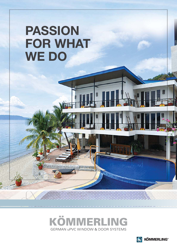# **PASSION FOR WHAT WE DO**



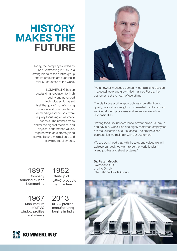## **HISTORY MAKES THE FUTURE**

Today, the company founded by Karl Kömmerling in 1897 is a strong brand of the profine group and its products are supplied in over 60 countries of the world.

KÖMMERLING has an outstanding reputation for high quality and advanced technologies. It has set itself the goal of manufacturing window and door profiles for demanding applications, while equally focussing on aesthetic aspects. The brand aims to deliver the highest technical and physical performance values, together with an extremely long service life and minimal care and servicing requirements.



"As an owner-managed company, our aim is to develop in a sustainable and growth-led manner. For us, the customer is at the heart of everything.

The distinctive profine approach rests on attention to quality, innovative strength, customer-led production and service, efficient processes and an awareness of our responsibilities.

Striving for all-round excellence is what drives us, day in and day out. Our skilled and highly motivated employees are the foundation of our success – as are the close partnerships we maintain with our customers.

We are convinced that with these strong values we will achieve our goal: we want to be the world leader in brand profiles and sheet systems."

**Dr. Peter Mrosik,** Owner and CEO profine GmbH International Profile Group



1897 Company founded by Karl Kömmerling

1967 Manufacture of uPVC window profiles and sheets

1952 Start-up of uPVC products manufacture

2013 uPVC profiles manufacturing begins in India

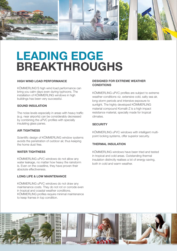

# **LEADING EDGE BREAKTHROUGHS**

#### **HIGH WIND LOAD PERFORMANCE**

KÖMMERLING'S high wind load performance can bring you calm days even during typhoons. The installation of KÖMMERLING windows in high buildings has been very successful.

#### **SOUND INSULATION**

The noise levels especially in areas with heavy traffic (e.g. near airports) can be considerably decreased by combining the uPVC profiles with specially insulating glass panes.

#### **AIR TIGHTNESS**

Scientific design of KÖMMERLING window systems avoids the penetration of outdoor air, thus keeping the home dust free.

#### **WATER TIGHTNESS**

KÖMMERLING uPVC windows do not allow any water leakage, no matter how heavy the rainstorm is. Even on the coastline, they have proven their absolute effectiveness.

#### **LONG LIFE & LOW MAINTENANCE**

KÖMMERLING uPVC windows do not draw any maintenance costs. They do not rot or corrode even in tropical and coastal weather conditions. KÖMMERLING profiles require minimal maintenance to keep frames in top condition.

#### **DESIGNED FOR EXTREME WEATHER CONDITIONS**

KÖMMERLING uPVC profiles are subject to extreme weather conditions viz. extensive cold, salty sea air, long storm periods and intensive exposure to sunlight. The highly developed KÖMMERLING material compound Komalit-Z is a high impact resistance material, specially made for tropical climates.

#### **SECURITY**

KÖMMERLING uPVC windows with intelligent multipoint locking systems, offer superior security.

#### **THERMAL INSULATION**

KÖMMERLING windows have been tried and tested in tropical and cold areas. Outstanding thermal insulation distinctly realises a lot of energy saving, both in cold and warm weather.

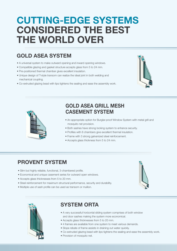## **CUTTING-EDGE SYSTEMS CONSIDERED THE BEST THE WORLD OVER**

## **GOLD ASEA SYSTEM**

- A universal system to make outward opening and inward opening windows.
- Compatible glazing and gasket structure accepts glass from 5 to 24 mm.
- Pre-positioned thermal chamber gives excellent insulation.
- Unique design of T-style transom can realize the ideal joint in both welding and mechanical coupling.
- Co-extruded glazing bead with lips tightens the sealing and ease the assembly work.





## **GOLD ASEA GRILL MESH CASEMENT SYSTEM**

- An appropriate option for Burglar-proof Window System with metal grill and mosquito net provision.
- Both sashes have strong locking system to enhance security.
- Profiles with 6 chambers give excellent thermal insulation.
- Frame with 3 strong galvanized steel reinforcement.
- Accepts glass thickness from 5 to 24 mm.

## **PROVENT SYSTEM**

- Slim but highly reliable, functional, 3-chambered profile.
- Economical and unique casement series for outward open windows.
- Accepts glass thicknesses from 5 to 20 mm.
- Steel reinforcement for maximum structural performance, security and durability.
- Multiple use of sash profile can be used as transom or mullion.





## **SYSTEM ORTA**

- A very successful horizontal sliding system comprises of both window and door sashes making the system more economical.
- Accepts glass thicknesses from 5 to 20 mm.
- 4 frames are available from one system to meet various demands.
- Slope rebate of frame assists in draining out water quickly.
- Co-extruded glazing bead with lips tightens the sealing and ease the assembly work.
- Provision of mosquito net.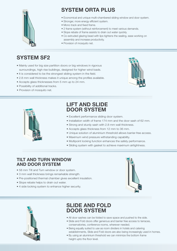

## **SYSTEM ORTA PLUS**

- Economical and unique multi-chambered sliding window and door system.
- Stronger, more energy efficient system.
- Mono track and fixed frame.
- 2 frame system (without reinforcement) to meet various demands.
- Slope rebate of frame assists to drain out water quickly.
- Co-extruded glazing bead with lips tightens the sealing, ease working on assembly and increase productivity.
- Provision of mosquito net.

## **SYSTEM SF2**

- Mainly used for big size partition doors or big windows in rigorous surroundings, high rise buildings, designed for higher wind loads.
- It is considered to be the strongest sliding system in the field.
- 2.8 mm wall thickness makes it unique among the profiles available.
- Accepts glass thicknesses from 5 mm up to 24 mm.
- Possibility of additional tracks.
- Provision of mosquito net.





## **LIFT AND SLIDE DOOR SYSTEM**

- Excellent performance sliding door system.
- Installation width of frame 174 mm and the door sash of 62 mm.
- Strong and sturdy sash with 2.8 mm wall thickness.
- Accepts glass thickness from 12 mm to 36 mm.
- Unique solution of aluminium threshold allows barrier-free access.
- Maximum wind pressure withstanding capability.
- Multipoint locking function enhances the safety performance.
- Sliding system with gasket to achieve maximum airtightness.

### **TILT AND TURN WINDOW AND DOOR SYSTEM**

- 58 mm Tilt and Turn window or door system.
- 3 mm wall thickness brings remarkable strength.
- Pre-positioned thermal chamber gives excellent insulation.
- Slope rebate helps to drain out water.
- 4 side locking system to enhance higher security.





## **SLIDE AND FOLD DOOR SYSTEM**

- All door sashes can be folded to save space and pushed to the side.
- Slide and Fold doors offer generous and barrier free access to terraces, conservatories, conference rooms, wherever needed.
- Being equally suited to use as room dividers in hotels and catering establishments, Slide and Fold doors are also being increasingly used in homes.
- By using an aluminium threshold we can minimize the bottom frame height upto the floor level.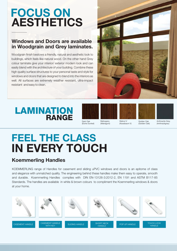## **FOCUS ON AESTHETICS**

## **Windows and Doors are available in Woodgrain and Grey laminates.**

Woodgrain finish bestows a friendly, natural and aesthetic look to buildings, which feels like natural wood. On the other hand Grey colour laminate give your interior/ exterior modern look and can easily blend with the architecture of your building. Combine these high quality surface structures to your personal taste and style for windows and doors that are designed to blend into the interiors as well. All surfaces are extremely weather resistant, ultra-impact resistant and easy to clean.













Dark Oak (Eiche Dunkel) Mahogany (Mahagoni)

Walnut V (Nussbaum V) Golden Oak (Golden Oak)

Anthracite Grey (Anthrazitgrau)

# **FEEL THE CLASS IN EVERY TOUCH**

## **Koemmerling Handles**

KOEMMERLING range of Handles for casement and sliding uPVC windows and doors is an epitome of class and elegance with unmatched quality. The engineering behind these handles make them easy to operate, smooth and durable. Koemmerling Handles complies with DIN EN-13126-3:2012-2, EN 1191 and ASTM B117-85 Standards. The handles are available in white & brown colours to compliment the Koemmerling windows & doors at your home.

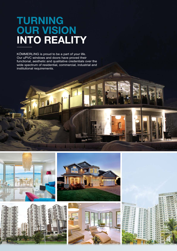## **TURNING OUR VISION INTO REALITY**

KÖMMERLING is proud to be a part of your life. Our uPVC windows and doors have proved their functional, aesthetic and qualitative credentials over the wide spectrum of residential, commercial, industrial and institutional requirements.